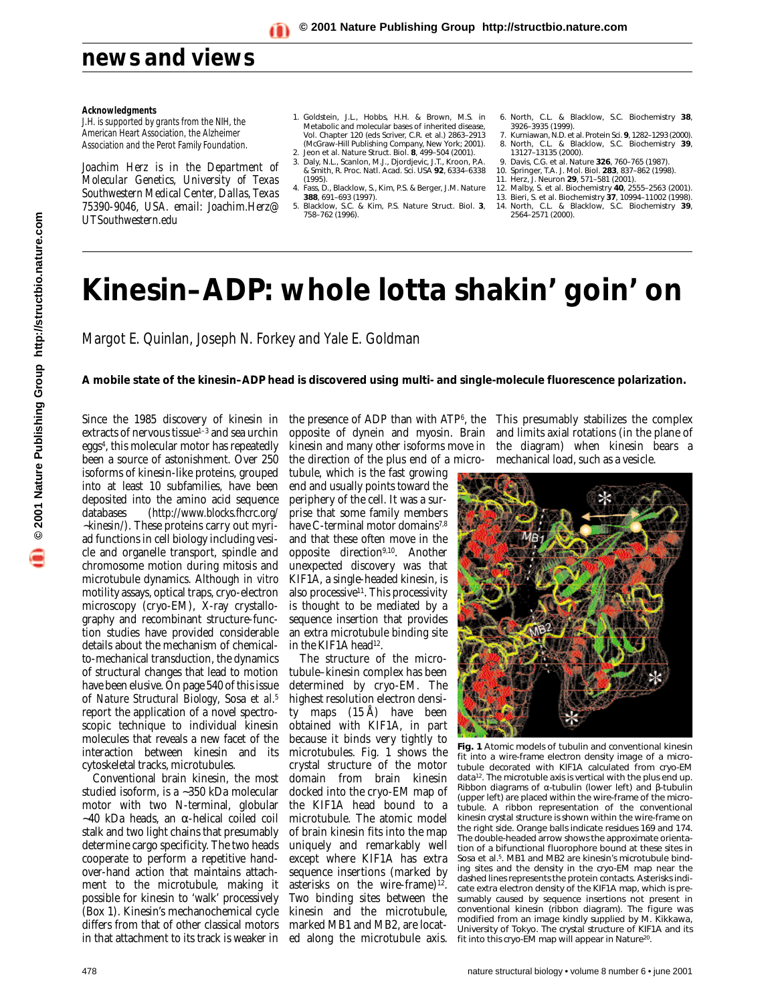### **Acknowledgments**

J.H. is supported by grants from the NIH, the American Heart Association, the Alzheimer Association and the Perot Family Foundation.

*Joachim Herz is in the Department of Molecular Genetics, University of Texas Southwestern Medical Center, Dallas, Texas 75390-9046, USA. email: Joachim.Herz@ UTSouthwestern.edu* 

- 1. Goldstein, J.L., Hobbs, H.H. & Brown, M.S. in *Metabolic and molecular bases of inherited disease*, Vol. Chapter 120 (eds Scriver, C.R. *et al.*) 2863–2913 (McGraw-Hill Publishing Company, New York; 2001).
- 2. Jeon *et al*. *Nature Struct. Biol.* **8**, 499–504 (2001). 3. Daly, N.L., Scanlon, M.J., Djordjevic, J.T., Kroon, P.A. & Smith, R. *Proc. Natl. Acad. Sci. USA* **92**, 6334–6338 (1995). 4. Fass, D., Blacklow, S., Kim, P.S. & Berger, J.M. *Nature*
- **388**, 691–693 (1997).
- 5. Blacklow, S.C. & Kim, P.S. *Nature Struct. Biol.* **3**, 758–762 (1996).
- 6. North, C.L. & Blacklow, S.C. *Biochemistry* **38**, 3926–3935 (1999).
- 7. Kurniawan, N.D. *et al. Protein Sci.* **9**, 1282–1293 (2000). 8. North, C.L. & Blacklow, S.C. *Biochemistry* **39**,
- 13127–13135 (2000). 9. Davis, C.G. *et al. Nature* **326**, 760–765 (1987).
- 10. Springer, T.A. *J. Mol. Biol.* **283**, 837–862 (1998).
- 11. Herz, J. *Neuron* **29**, 571–581 (2001). 12. Malby, S. *et al. Biochemistry* **40**, 2555–2563 (2001).
- 13. Bieri, S. *et al. Biochemistry* **37**, 10994–11002 (1998).
- 14. North, C.L. & Blacklow, S.C. *Biochemistry* **39**, 2564–2571 (2000).

## **Kinesin–ADP: whole lotta shakin' goin' on**

Margot E. Quinlan, Joseph N. Forkey and Yale E. Goldman

**A mobile state of the kinesin–ADP head is discovered using multi- and single-molecule fluorescence polarization.**

Since the 1985 discovery of kinesin in extracts of nervous tissue<sup>1-3</sup> and sea urchin eggs4, this molecular motor has repeatedly been a source of astonishment. Over 250 isoforms of kinesin-like proteins, grouped into at least 10 subfamilies, have been deposited into the amino acid sequence databases (*http://www.blocks.fhcrc.org/* ∼*kinesin/*). These proteins carry out myriad functions in cell biology including vesicle and organelle transport, spindle and chromosome motion during mitosis and microtubule dynamics. Although *in vitro* motility assays, optical traps, cryo-electron microscopy (cryo-EM), X-ray crystallography and recombinant structure-function studies have provided considerable details about the mechanism of chemicalto-mechanical transduction, the dynamics of structural changes that lead to motion have been elusive. On page 540 of this issue of *Nature Structural Biology*, Sosa *et al.*<sup>5</sup> report the application of a novel spectroscopic technique to individual kinesin molecules that reveals a new facet of the interaction between kinesin and its cytoskeletal tracks, microtubules.

Conventional brain kinesin, the most studied isoform, is a ∼350 kDa molecular motor with two N-terminal, globular ∼40 kDa heads, an α-helical coiled coil stalk and two light chains that presumably determine cargo specificity. The two heads cooperate to perform a repetitive handover-hand action that maintains attachment to the microtubule, making it possible for kinesin to 'walk' processively (Box 1). Kinesin's mechanochemical cycle differs from that of other classical motors in that attachment to its track is weaker in ed along the microtubule axis.

opposite of dynein and myosin. Brain kinesin and many other isoforms move in the direction of the plus end of a micro-

tubule, which is the fast growing end and usually points toward the periphery of the cell. It was a surprise that some family members have C-terminal motor domains<sup>7,8</sup> and that these often move in the opposite direction9,10. Another unexpected discovery was that KIF1A, a single-headed kinesin, is also processive $11$ . This processivity is thought to be mediated by a sequence insertion that provides an extra microtubule binding site in the KIF1A head<sup>12</sup>.

The structure of the microtubule–kinesin complex has been determined by cryo-EM. The highest resolution electron density maps (15 Å) have been obtained with KIF1A, in part because it binds very tightly to microtubules. Fig. 1 shows the crystal structure of the motor domain from brain kinesin docked into the cryo-EM map of the KIF1A head bound to a microtubule. The atomic model of brain kinesin fits into the map uniquely and remarkably well except where KIF1A has extra sequence insertions (marked by asterisks on the wire-frame)<sup>12</sup>. Two binding sites between the kinesin and the microtubule, marked MB1 and MB2, are locat-

the presence of ADP than with ATP<sup>6</sup>, the This presumably stabilizes the complex and limits axial rotations (in the plane of the diagram) when kinesin bears a mechanical load, such as a vesicle.



**Fig. 1** Atomic models of tubulin and conventional kinesin fit into a wire-frame electron density image of a microtubule decorated with KIF1A calculated from cryo-EM data<sup>12</sup>. The microtuble axis is vertical with the plus end up. Ribbon diagrams of α-tubulin (lower left) and β-tubulin (upper left) are placed within the wire-frame of the microtubule. A ribbon representation of the conventional kinesin crystal structure is shown within the wire-frame on the right side. Orange balls indicate residues 169 and 174. The double-headed arrow shows the approximate orientation of a bifunctional fluorophore bound at these sites in Sosa *et al.*5. MB1 and MB2 are kinesin's microtubule binding sites and the density in the cryo-EM map near the dashed lines represents the protein contacts. Asterisks indicate extra electron density of the KIF1A map, which is presumably caused by sequence insertions not present in conventional kinesin (ribbon diagram). The figure was modified from an image kindly supplied by M. Kikkawa, University of Tokyo. The crystal structure of KIF1A and its fit into this cryo-EM map will appear in *Nature*20.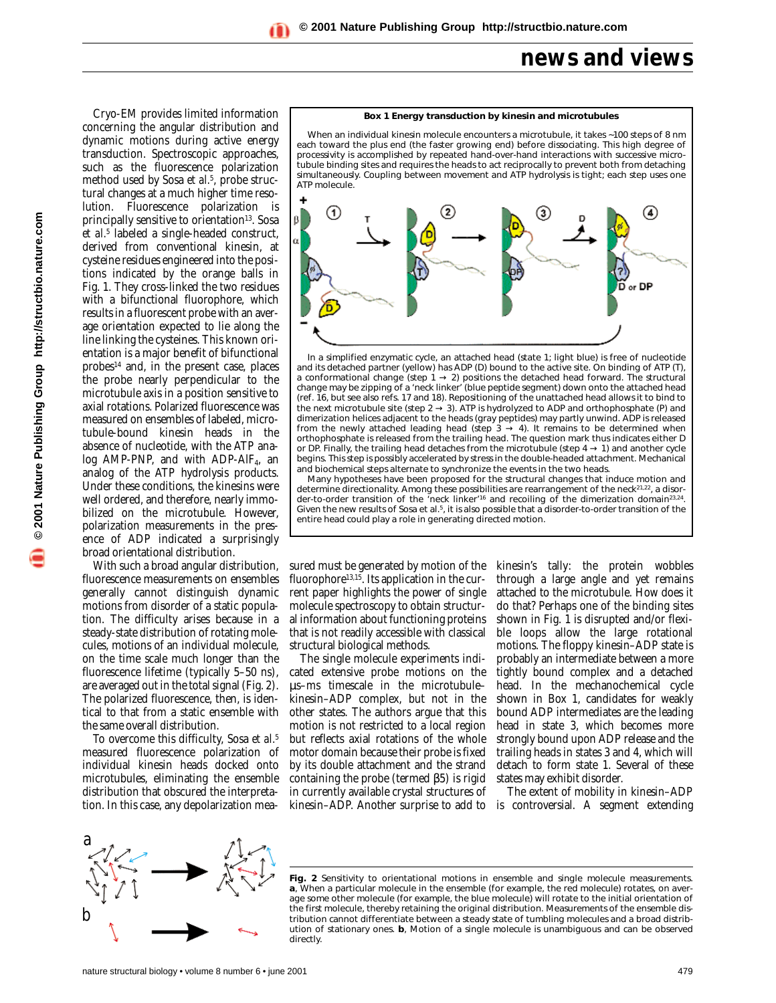### **news and views**

© 2001 Nature Publishing Group http://structbio.nature.com **© 2001 Nature Publishing Group http://structbio.nature.com**

Cryo-EM provides limited information concerning the angular distribution and dynamic motions during active energy transduction. Spectroscopic approaches, such as the fluorescence polarization method used by Sosa *et al.*5, probe structural changes at a much higher time resolution. Fluorescence polarization is principally sensitive to orientation<sup>13</sup>. Sosa *et al.*<sup>5</sup> labeled a single-headed construct, derived from conventional kinesin, at cysteine residues engineered into the positions indicated by the orange balls in Fig. 1. They cross-linked the two residues with a bifunctional fluorophore, which results in a fluorescent probe with an average orientation expected to lie along the line linking the cysteines. This known orientation is a major benefit of bifunctional  $probes<sup>14</sup>$  and, in the present case, places the probe nearly perpendicular to the microtubule axis in a position sensitive to axial rotations. Polarized fluorescence was measured on ensembles of labeled, microtubule-bound kinesin heads in the absence of nucleotide, with the ATP analog AMP-PNP, and with ADP-AlF<sub>4</sub>, an analog of the ATP hydrolysis products. Under these conditions, the kinesins were well ordered, and therefore, nearly immobilized on the microtubule. However, polarization measurements in the presence of ADP indicated a surprisingly broad orientational distribution.

With such a broad angular distribution, fluorescence measurements on ensembles generally cannot distinguish dynamic motions from disorder of a static population. The difficulty arises because in a steady-state distribution of rotating molecules, motions of an individual molecule, on the time scale much longer than the fluorescence lifetime (typically 5–50 ns), are averaged out in the total signal (Fig. 2). The polarized fluorescence, then, is identical to that from a static ensemble with the same overall distribution.

To overcome this difficulty, Sosa *et al.*<sup>5</sup> measured fluorescence polarization of individual kinesin heads docked onto microtubules, eliminating the ensemble distribution that obscured the interpretation. In this case, any depolarization mea-



each toward the plus end (the faster growing end) before dissociating. This high degree of processivity is accomplished by repeated hand-over-hand interactions with successive microtubule binding sites and requires the heads to act reciprocally to prevent both from detaching simultaneously. Coupling between movement and ATP hydrolysis is tight; each step uses one ATP molecule.



In a simplified enzymatic cycle, an attached head (state 1; light blue) is free of nucleotide and its detached partner (yellow) has ADP (D) bound to the active site. On binding of ATP (T), a conformational change (step  $1 \rightarrow 2$ ) positions the detached head forward. The structural change may be zipping of a 'neck linker' (blue peptide segment) down onto the attached head (ref. 16, but see also refs. 17 and 18). Repositioning of the unattached head allows it to bind to the next microtubule site (step  $2 \rightarrow 3$ ). ATP is hydrolyzed to ADP and orthophosphate (P) and dimerization helices adjacent to the heads (gray peptides) may partly unwind. ADP is released from the newly attached leading head (step 3  $\rightarrow$  4). It remains to be determined when orthophosphate is released from the trailing head. The question mark thus indicates either D or DP. Finally, the trailing head detaches from the microtubule (step  $4 \rightarrow 1$ ) and another cycle begins. This step is possibly accelerated by stress in the double-headed attachment. Mechanical and biochemical steps alternate to synchronize the events in the two heads.

Many hypotheses have been proposed for the structural changes that induce motion and determine directionality. Among these possibilities are rearrangement of the neck<sup>21,22</sup>, a disorder-to-order transition of the 'neck linker'<sup>16</sup> and recoiling of the dimerization domain<sup>23,24</sup>. Given the new results of Sosa *et al.*5, it is also possible that a disorder-to-order transition of the entire head could play a role in generating directed motion.

sured must be generated by motion of the fluorophore<sup>13,15</sup>. Its application in the current paper highlights the power of single molecule spectroscopy to obtain structural information about functioning proteins that is not readily accessible with classical structural biological methods.

The single molecule experiments indicated extensive probe motions on the µs–ms timescale in the microtubule– kinesin–ADP complex, but not in the other states. The authors argue that this motion is not restricted to a local region but reflects axial rotations of the whole motor domain because their probe is fixed by its double attachment and the strand containing the probe (termed β5) is rigid in currently available crystal structures of kinesin–ADP. Another surprise to add to is controversial. A segment extending

kinesin's tally: the protein wobbles through a large angle and yet remains attached to the microtubule. How does it do that? Perhaps one of the binding sites shown in Fig.  $\overline{1}$  is disrupted and/or flexible loops allow the large rotational motions. The floppy kinesin–ADP state is probably an intermediate between a more tightly bound complex and a detached head. In the mechanochemical cycle shown in Box 1, candidates for weakly bound ADP intermediates are the leading head in state 3, which becomes more strongly bound upon ADP release and the trailing heads in states 3 and 4, which will detach to form state 1. Several of these states may exhibit disorder.

The extent of mobility in kinesin–ADP



Fig. 2 Sensitivity to orientational motions in ensemble and single molecule measurements. *a*, When a particular molecule in the ensemble (for example, the red molecule) rotates, on average some other molecule (for example, the blue molecule) will rotate to the initial orientation of the first molecule, thereby retaining the original distribution. Measurements of the ensemble distribution cannot differentiate between a steady state of tumbling molecules and a broad distribution of stationary ones. *b*, Motion of a single molecule is unambiguous and can be observed directly.